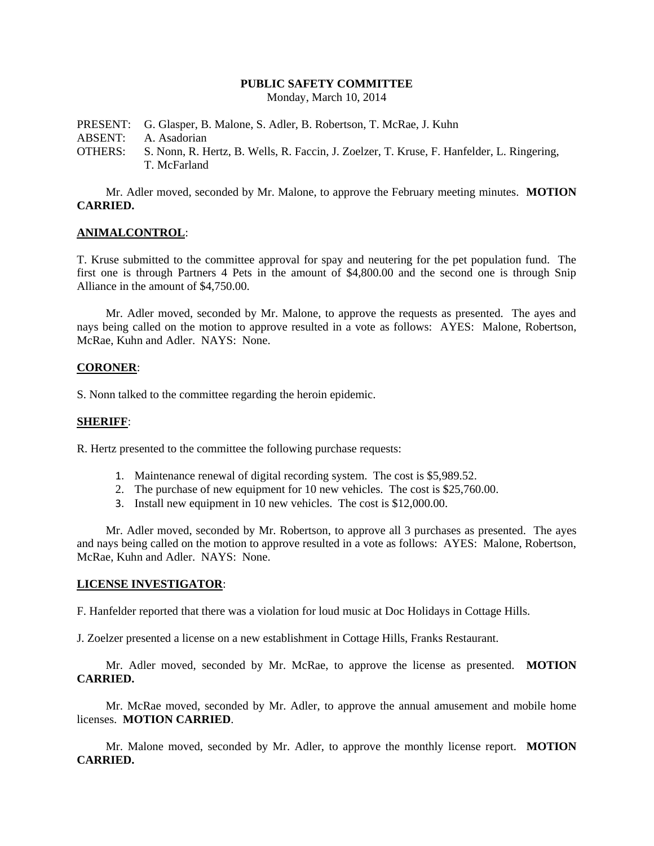## **PUBLIC SAFETY COMMITTEE**

Monday, March 10, 2014

PRESENT: G. Glasper, B. Malone, S. Adler, B. Robertson, T. McRae, J. Kuhn ABSENT: A. Asadorian OTHERS: S. Nonn, R. Hertz, B. Wells, R. Faccin, J. Zoelzer, T. Kruse, F. Hanfelder, L. Ringering, T. McFarland

Mr. Adler moved, seconded by Mr. Malone, to approve the February meeting minutes. **MOTION CARRIED.**

## **ANIMALCONTROL**:

T. Kruse submitted to the committee approval for spay and neutering for the pet population fund. The first one is through Partners 4 Pets in the amount of \$4,800.00 and the second one is through Snip Alliance in the amount of \$4,750.00.

Mr. Adler moved, seconded by Mr. Malone, to approve the requests as presented. The ayes and nays being called on the motion to approve resulted in a vote as follows: AYES: Malone, Robertson, McRae, Kuhn and Adler. NAYS: None.

#### **CORONER**:

S. Nonn talked to the committee regarding the heroin epidemic.

#### **SHERIFF**:

R. Hertz presented to the committee the following purchase requests:

- 1. Maintenance renewal of digital recording system. The cost is \$5,989.52.
- 2. The purchase of new equipment for 10 new vehicles. The cost is \$25,760.00.
- 3. Install new equipment in 10 new vehicles. The cost is \$12,000.00.

Mr. Adler moved, seconded by Mr. Robertson, to approve all 3 purchases as presented. The ayes and nays being called on the motion to approve resulted in a vote as follows: AYES: Malone, Robertson, McRae, Kuhn and Adler. NAYS: None.

#### **LICENSE INVESTIGATOR**:

F. Hanfelder reported that there was a violation for loud music at Doc Holidays in Cottage Hills.

J. Zoelzer presented a license on a new establishment in Cottage Hills, Franks Restaurant.

Mr. Adler moved, seconded by Mr. McRae, to approve the license as presented. **MOTION CARRIED.**

Mr. McRae moved, seconded by Mr. Adler, to approve the annual amusement and mobile home licenses. **MOTION CARRIED**.

Mr. Malone moved, seconded by Mr. Adler, to approve the monthly license report. **MOTION CARRIED.**